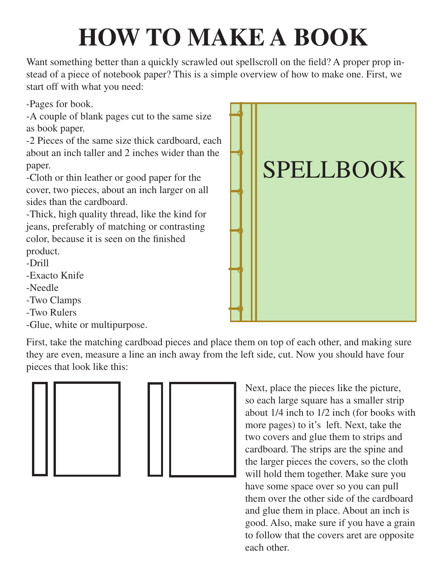## **HOW TO MAKE A BOOK**

Want something better than a quickly scrawled out spellscroll on the field? A proper prop instead of a piece of notebook paper? This is a simple overview of how to make one. First, we start off with what you need:

-Pages for book.

-A couple of blank pages cut to the same size as book paper.

-2 Pieces of the same size thick cardboard, each about an inch taller and 2 inches wider than the paper.

-Cloth or thin leather or good paper for the cover, two pieces, about an inch larger on all sides than the cardboard.

-Thick, high quality thread, like the kind for jeans, preferably of matching or contrasting color, because it is seen on the finished

product.

- -Drill
- -Exacto Knife
- -Needle
- -Two Clamps
- -Two Rulers
- -Glue, white or multipurpose.

First, take the matching cardboad pieces and place them on top of each other, and making sure they are even, measure a line an inch away from the left side, cut. Now you should have four pieces that look like this:





Next, place the pieces like the picture, so each large square has a smaller strip about 1/4 inch to 1/2 inch (for books with more pages) to it's left. Next, take the two covers and glue them to strips and cardboard. The strips are the spine and the larger pieces the covers, so the cloth will hold them together. Make sure you have some space over so you can pull them over the other side of the cardboard and glue them in place. About an inch is good. Also, make sure if you have a grain to follow that the covers aret are opposite each other.

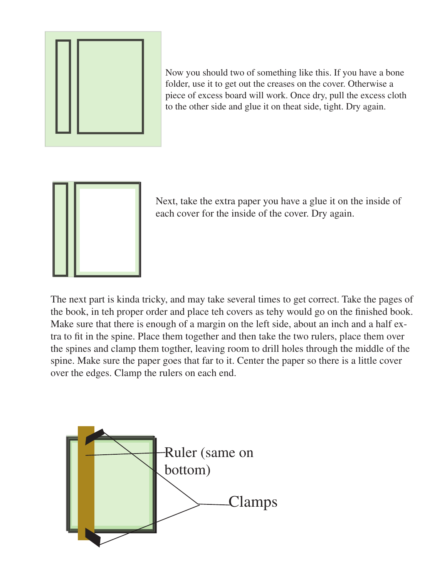

Now you should two of something like this. If you have a bone folder, use it to get out the creases on the cover. Otherwise a piece of excess board will work. Once dry, pull the excess cloth to the other side and glue it on theat side, tight. Dry again.



Next, take the extra paper you have a glue it on the inside of each cover for the inside of the cover. Dry again.

The next part is kinda tricky, and may take several times to get correct. Take the pages of the book, in teh proper order and place teh covers as tehy would go on the finished book. Make sure that there is enough of a margin on the left side, about an inch and a half extra to fit in the spine. Place them together and then take the two rulers, place them over the spines and clamp them togther, leaving room to drill holes through the middle of the spine. Make sure the paper goes that far to it. Center the paper so there is a little cover over the edges. Clamp the rulers on each end.